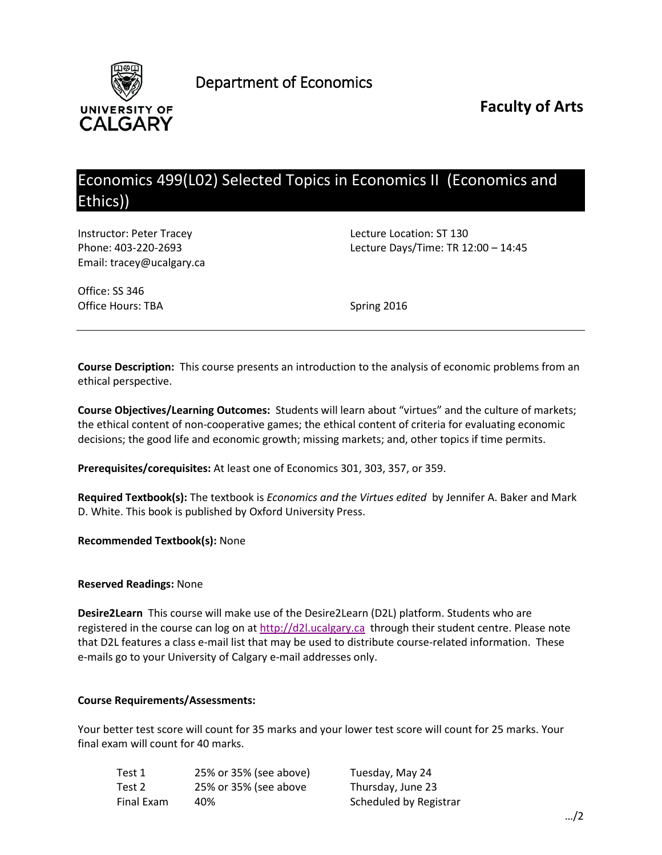

Department of Economics

**Faculty of Arts**

# Economics 499(L02) Selected Topics in Economics II (Economics and Ethics))

Instructor: Peter Tracey **Lecture Location: ST 130** Email: tracey@ucalgary.ca

Phone: 403-220-2693 Lecture Days/Time: TR 12:00 – 14:45

Office: SS 346 Office Hours: TBA Spring 2016

**Course Description:** This course presents an introduction to the analysis of economic problems from an ethical perspective.

**Course Objectives/Learning Outcomes:** Students will learn about "virtues" and the culture of markets; the ethical content of non-cooperative games; the ethical content of criteria for evaluating economic decisions; the good life and economic growth; missing markets; and, other topics if time permits.

**Prerequisites/corequisites:** At least one of Economics 301, 303, 357, or 359.

**Required Textbook(s):** The textbook is *Economics and the Virtues edited* by Jennifer A. Baker and Mark D. White. This book is published by Oxford University Press.

**Recommended Textbook(s):** None

#### **Reserved Readings:** None

**Desire2Learn** This course will make use of the Desire2Learn (D2L) platform. Students who are registered in the course can log on at [http://d2l.ucalgary.ca](http://d2l.ucalgary.ca/) through their student centre. Please note that D2L features a class e-mail list that may be used to distribute course-related information. These e-mails go to your University of Calgary e-mail addresses only.

#### **Course Requirements/Assessments:**

Your better test score will count for 35 marks and your lower test score will count for 25 marks. Your final exam will count for 40 marks.

| Test 1     | 25% or 35% (see above) | Tuesday, May 24        |
|------------|------------------------|------------------------|
| Test 2     | 25% or 35% (see above  | Thursday, June 23      |
| Final Exam | 40%                    | Scheduled by Registrar |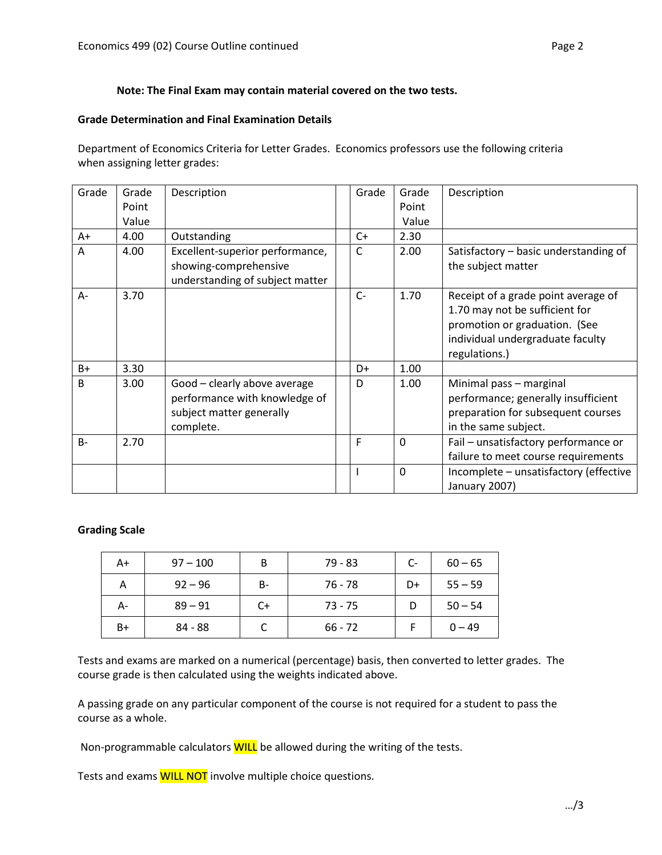# **Note: The Final Exam may contain material covered on the two tests.**

# **Grade Determination and Final Examination Details**

Department of Economics Criteria for Letter Grades. Economics professors use the following criteria when assigning letter grades:

| Grade        | Grade | Description                                                                                            | Grade | Grade        | Description                                                                                                                                                 |
|--------------|-------|--------------------------------------------------------------------------------------------------------|-------|--------------|-------------------------------------------------------------------------------------------------------------------------------------------------------------|
|              | Point |                                                                                                        |       | Point        |                                                                                                                                                             |
|              | Value |                                                                                                        |       | Value        |                                                                                                                                                             |
| $A+$         | 4.00  | Outstanding                                                                                            | C+    | 2.30         |                                                                                                                                                             |
| A            | 4.00  | Excellent-superior performance,<br>showing-comprehensive<br>understanding of subject matter            | C     | 2.00         | Satisfactory – basic understanding of<br>the subject matter                                                                                                 |
| $A -$        | 3.70  |                                                                                                        | $C-$  | 1.70         | Receipt of a grade point average of<br>1.70 may not be sufficient for<br>promotion or graduation. (See<br>individual undergraduate faculty<br>regulations.) |
| $B+$         | 3.30  |                                                                                                        | D+    | 1.00         |                                                                                                                                                             |
| <sub>B</sub> | 3.00  | Good - clearly above average<br>performance with knowledge of<br>subject matter generally<br>complete. | D     | 1.00         | Minimal pass - marginal<br>performance; generally insufficient<br>preparation for subsequent courses<br>in the same subject.                                |
| $B -$        | 2.70  |                                                                                                        | F     | $\mathbf{0}$ | Fail - unsatisfactory performance or<br>failure to meet course requirements                                                                                 |
|              |       |                                                                                                        |       | 0            | Incomplete - unsatisfactory (effective<br>January 2007)                                                                                                     |

# **Grading Scale**

| A+   | $97 - 100$ | B     | $79 - 83$ | $C-$ | $60 - 65$ |
|------|------------|-------|-----------|------|-----------|
| А    | $92 - 96$  | $B -$ | 76 - 78   | D+   | $55 - 59$ |
| А-   | $89 - 91$  | $C+$  | $73 - 75$ |      | $50 - 54$ |
| $B+$ | $84 - 88$  |       | $66 - 72$ |      | $0 - 49$  |

Tests and exams are marked on a numerical (percentage) basis, then converted to letter grades. The course grade is then calculated using the weights indicated above.

A passing grade on any particular component of the course is not required for a student to pass the course as a whole.

Non-programmable calculators **WILL** be allowed during the writing of the tests.

Tests and exams **WILL NOT** involve multiple choice questions.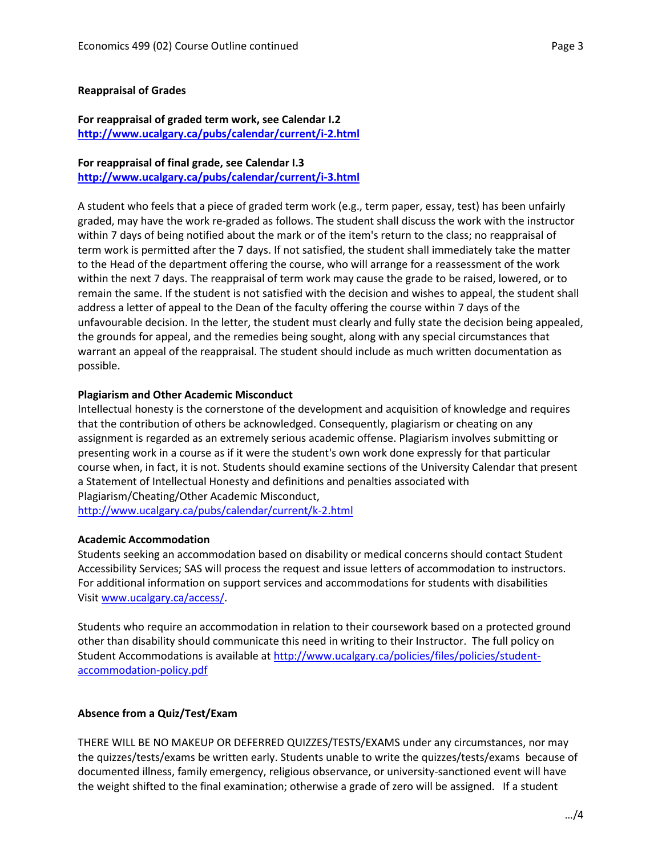# **Reappraisal of Grades**

# **For reappraisal of graded term work, see Calendar I.2 <http://www.ucalgary.ca/pubs/calendar/current/i-2.html>**

## **For reappraisal of final grade, see Calendar I.3**

**<http://www.ucalgary.ca/pubs/calendar/current/i-3.html>**

A student who feels that a piece of graded term work (e.g., term paper, essay, test) has been unfairly graded, may have the work re-graded as follows. The student shall discuss the work with the instructor within 7 days of being notified about the mark or of the item's return to the class; no reappraisal of term work is permitted after the 7 days. If not satisfied, the student shall immediately take the matter to the Head of the department offering the course, who will arrange for a reassessment of the work within the next 7 days. The reappraisal of term work may cause the grade to be raised, lowered, or to remain the same. If the student is not satisfied with the decision and wishes to appeal, the student shall address a letter of appeal to the Dean of the faculty offering the course within 7 days of the unfavourable decision. In the letter, the student must clearly and fully state the decision being appealed, the grounds for appeal, and the remedies being sought, along with any special circumstances that warrant an appeal of the reappraisal. The student should include as much written documentation as possible.

#### **Plagiarism and Other Academic Misconduct**

Intellectual honesty is the cornerstone of the development and acquisition of knowledge and requires that the contribution of others be acknowledged. Consequently, plagiarism or cheating on any assignment is regarded as an extremely serious academic offense. Plagiarism involves submitting or presenting work in a course as if it were the student's own work done expressly for that particular course when, in fact, it is not. Students should examine sections of the University Calendar that present a Statement of Intellectual Honesty and definitions and penalties associated with Plagiarism/Cheating/Other Academic Misconduct, <http://www.ucalgary.ca/pubs/calendar/current/k-2.html>

#### **Academic Accommodation**

Students seeking an accommodation based on disability or medical concerns should contact Student Accessibility Services; SAS will process the request and issue letters of accommodation to instructors. For additional information on support services and accommodations for students with disabilities Visit [www.ucalgary.ca/access/.](http://www.ucalgary.ca/access/)

Students who require an accommodation in relation to their coursework based on a protected ground other than disability should communicate this need in writing to their Instructor. The full policy on Student Accommodations is available at [http://www.ucalgary.ca/policies/files/policies/student](http://www.ucalgary.ca/policies/files/policies/student-accommodation-policy.pdf)[accommodation-policy.pdf](http://www.ucalgary.ca/policies/files/policies/student-accommodation-policy.pdf)

# **Absence from a Quiz/Test/Exam**

THERE WILL BE NO MAKEUP OR DEFERRED QUIZZES/TESTS/EXAMS under any circumstances, nor may the quizzes/tests/exams be written early. Students unable to write the quizzes/tests/exams because of documented illness, family emergency, religious observance, or university-sanctioned event will have the weight shifted to the final examination; otherwise a grade of zero will be assigned. If a student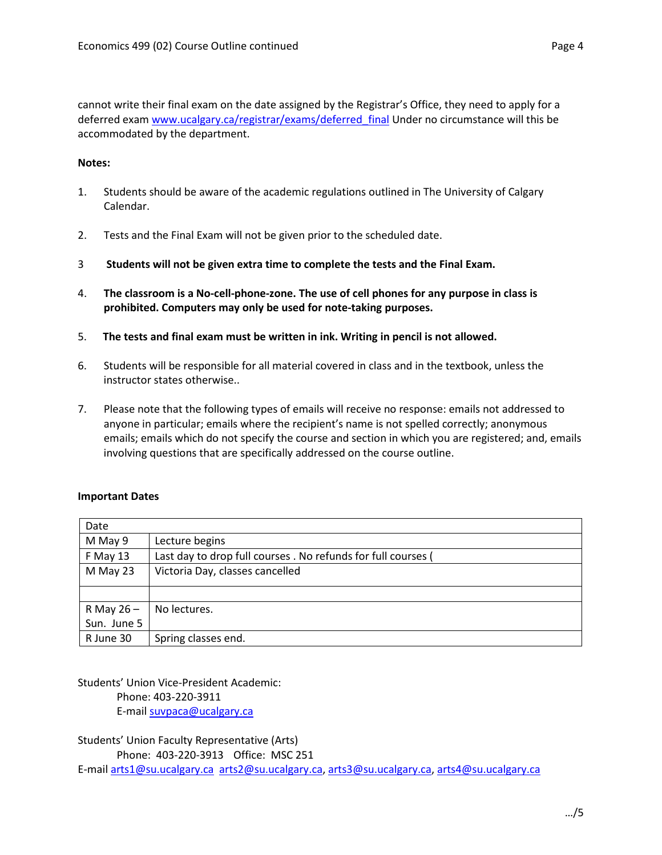cannot write their final exam on the date assigned by the Registrar's Office, they need to apply for a deferred exam www.ucalgary.ca/registrar/exams/deferred final Under no circumstance will this be accommodated by the department.

# **Notes:**

- 1. Students should be aware of the academic regulations outlined in The University of Calgary Calendar.
- 2. Tests and the Final Exam will not be given prior to the scheduled date.
- 3 **Students will not be given extra time to complete the tests and the Final Exam.**
- 4. **The classroom is a No-cell-phone-zone. The use of cell phones for any purpose in class is prohibited. Computers may only be used for note-taking purposes.**
- 5. **The tests and final exam must be written in ink. Writing in pencil is not allowed.**
- 6. Students will be responsible for all material covered in class and in the textbook, unless the instructor states otherwise..
- 7. Please note that the following types of emails will receive no response: emails not addressed to anyone in particular; emails where the recipient's name is not spelled correctly; anonymous emails; emails which do not specify the course and section in which you are registered; and, emails involving questions that are specifically addressed on the course outline.

# **Important Dates**

| Date         |                                                               |
|--------------|---------------------------------------------------------------|
| M May 9      | Lecture begins                                                |
| F May 13     | Last day to drop full courses . No refunds for full courses ( |
| M May 23     | Victoria Day, classes cancelled                               |
|              |                                                               |
|              |                                                               |
| R May $26 -$ | No lectures.                                                  |
| Sun. June 5  |                                                               |
| R June 30    | Spring classes end.                                           |

Students' Union Vice-President Academic: Phone: 403-220-3911 E-mail [suvpaca@ucalgary.ca](mailto:subpaca@ucalgary.ca)

Students' Union Faculty Representative (Arts) Phone: 403-220-3913 Office: MSC 251 E-mail [arts1@su.ucalgary.ca](mailto:arts1@su.ucalgary.ca) [arts2@su.ucalgary.ca,](mailto:arts2@su.ucalgary.ca) [arts3@su.ucalgary.ca,](mailto:arts3@su.ucalgary.ca) [arts4@su.ucalgary.ca](mailto:arts4@su.ucalgary.ca)